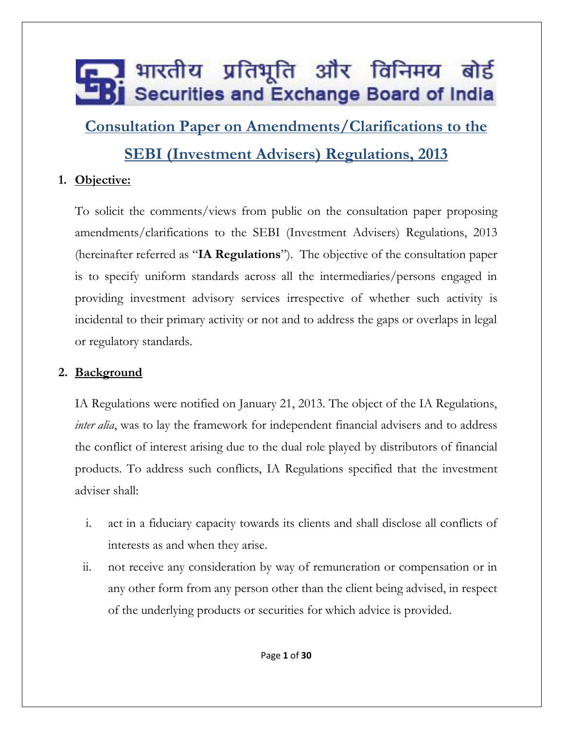**Consultation Paper on Amendments/Clarifications to the** 

#### **SEBI (Investment Advisers) Regulations, 2013**

#### **1. Objective:**

To solicit the comments/views from public on the consultation paper proposing amendments/clarifications to the SEBI (Investment Advisers) Regulations, 2013 (hereinafter referred as "**IA Regulations**"). The objective of the consultation paper is to specify uniform standards across all the intermediaries/persons engaged in providing investment advisory services irrespective of whether such activity is incidental to their primary activity or not and to address the gaps or overlaps in legal or regulatory standards.

#### **2. Background**

IA Regulations were notified on January 21, 2013. The object of the IA Regulations, *inter alia*, was to lay the framework for independent financial advisers and to address the conflict of interest arising due to the dual role played by distributors of financial products. To address such conflicts, IA Regulations specified that the investment adviser shall:

- i. act in a fiduciary capacity towards its clients and shall disclose all conflicts of interests as and when they arise.
- ii. not receive any consideration by way of remuneration or compensation or in any other form from any person other than the client being advised, in respect of the underlying products or securities for which advice is provided.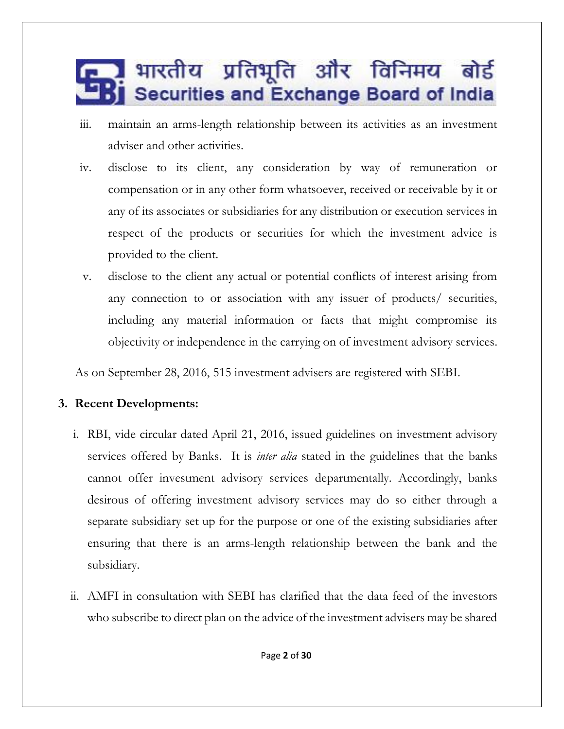- iii. maintain an arms-length relationship between its activities as an investment adviser and other activities.
- iv. disclose to its client, any consideration by way of remuneration or compensation or in any other form whatsoever, received or receivable by it or any of its associates or subsidiaries for any distribution or execution services in respect of the products or securities for which the investment advice is provided to the client.
- v. disclose to the client any actual or potential conflicts of interest arising from any connection to or association with any issuer of products/ securities, including any material information or facts that might compromise its objectivity or independence in the carrying on of investment advisory services.

As on September 28, 2016, 515 investment advisers are registered with SEBI.

#### **3. Recent Developments:**

- i. RBI, vide circular dated April 21, 2016, issued guidelines on investment advisory services offered by Banks. It is *inter alia* stated in the guidelines that the banks cannot offer investment advisory services departmentally. Accordingly, banks desirous of offering investment advisory services may do so either through a separate subsidiary set up for the purpose or one of the existing subsidiaries after ensuring that there is an arms-length relationship between the bank and the subsidiary.
- ii. AMFI in consultation with SEBI has clarified that the data feed of the investors who subscribe to direct plan on the advice of the investment advisers may be shared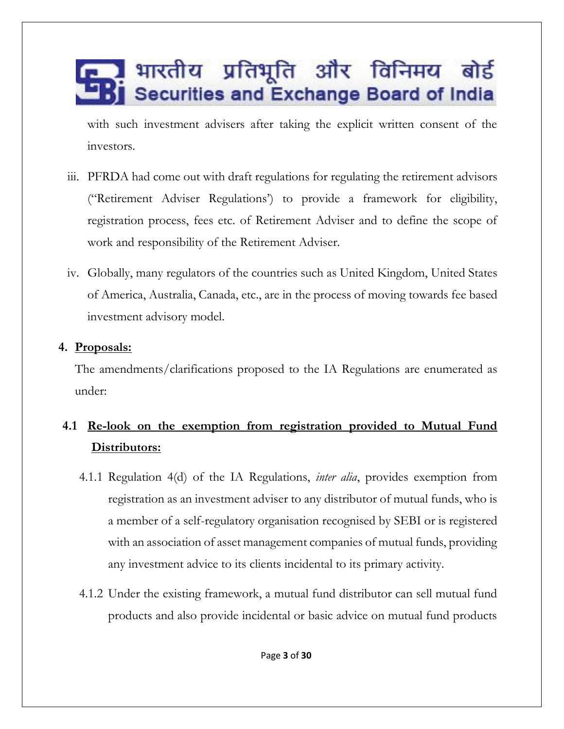with such investment advisers after taking the explicit written consent of the investors.

- iii. PFRDA had come out with draft regulations for regulating the retirement advisors ("Retirement Adviser Regulations') to provide a framework for eligibility, registration process, fees etc. of Retirement Adviser and to define the scope of work and responsibility of the Retirement Adviser.
- iv. Globally, many regulators of the countries such as United Kingdom, United States of America, Australia, Canada, etc., are in the process of moving towards fee based investment advisory model.

#### **4. Proposals:**

The amendments/clarifications proposed to the IA Regulations are enumerated as under:

#### **4.1 Re-look on the exemption from registration provided to Mutual Fund Distributors:**

- 4.1.1 Regulation 4(d) of the IA Regulations, *inter alia*, provides exemption from registration as an investment adviser to any distributor of mutual funds, who is a member of a self-regulatory organisation recognised by SEBI or is registered with an association of asset management companies of mutual funds, providing any investment advice to its clients incidental to its primary activity.
- 4.1.2 Under the existing framework, a mutual fund distributor can sell mutual fund products and also provide incidental or basic advice on mutual fund products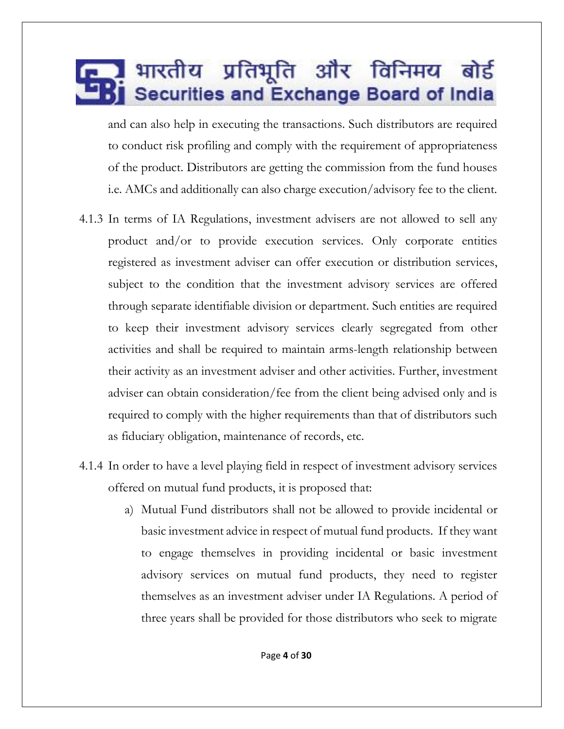and can also help in executing the transactions. Such distributors are required to conduct risk profiling and comply with the requirement of appropriateness of the product. Distributors are getting the commission from the fund houses i.e. AMCs and additionally can also charge execution/advisory fee to the client.

- 4.1.3 In terms of IA Regulations, investment advisers are not allowed to sell any product and/or to provide execution services. Only corporate entities registered as investment adviser can offer execution or distribution services, subject to the condition that the investment advisory services are offered through separate identifiable division or department. Such entities are required to keep their investment advisory services clearly segregated from other activities and shall be required to maintain arms-length relationship between their activity as an investment adviser and other activities. Further, investment adviser can obtain consideration/fee from the client being advised only and is required to comply with the higher requirements than that of distributors such as fiduciary obligation, maintenance of records, etc.
- 4.1.4 In order to have a level playing field in respect of investment advisory services offered on mutual fund products, it is proposed that:
	- a) Mutual Fund distributors shall not be allowed to provide incidental or basic investment advice in respect of mutual fund products. If they want to engage themselves in providing incidental or basic investment advisory services on mutual fund products, they need to register themselves as an investment adviser under IA Regulations. A period of three years shall be provided for those distributors who seek to migrate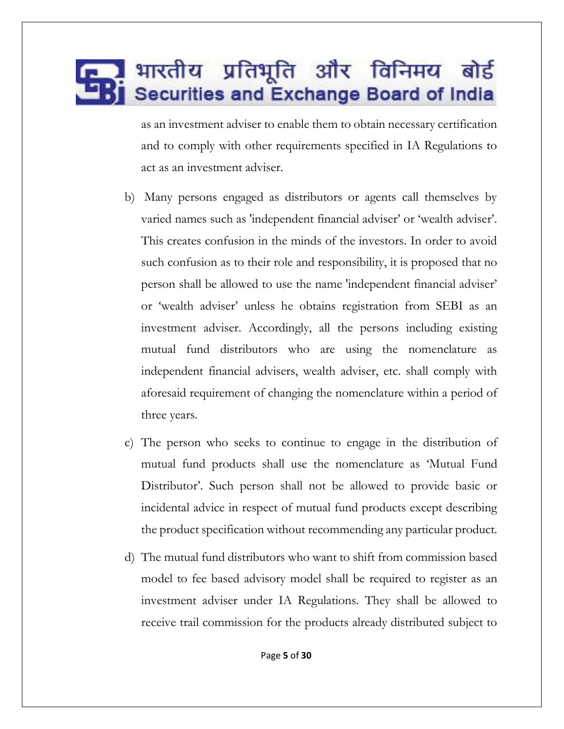as an investment adviser to enable them to obtain necessary certification and to comply with other requirements specified in IA Regulations to act as an investment adviser.

- b) Many persons engaged as distributors or agents call themselves by varied names such as 'independent financial adviser' or 'wealth adviser'. This creates confusion in the minds of the investors. In order to avoid such confusion as to their role and responsibility, it is proposed that no person shall be allowed to use the name 'independent financial adviser' or 'wealth adviser' unless he obtains registration from SEBI as an investment adviser. Accordingly, all the persons including existing mutual fund distributors who are using the nomenclature as independent financial advisers, wealth adviser, etc. shall comply with aforesaid requirement of changing the nomenclature within a period of three years.
- c) The person who seeks to continue to engage in the distribution of mutual fund products shall use the nomenclature as 'Mutual Fund Distributor'. Such person shall not be allowed to provide basic or incidental advice in respect of mutual fund products except describing the product specification without recommending any particular product.
- d) The mutual fund distributors who want to shift from commission based model to fee based advisory model shall be required to register as an investment adviser under IA Regulations. They shall be allowed to receive trail commission for the products already distributed subject to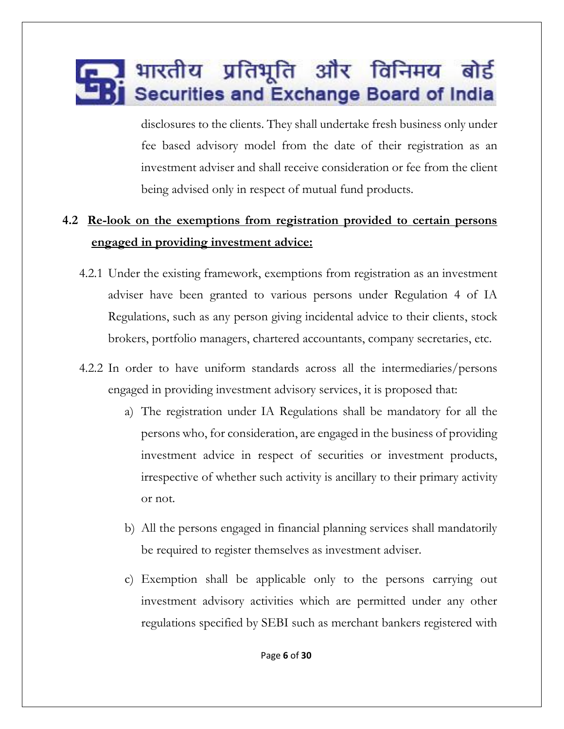disclosures to the clients. They shall undertake fresh business only under fee based advisory model from the date of their registration as an investment adviser and shall receive consideration or fee from the client being advised only in respect of mutual fund products.

#### **4.2 Re-look on the exemptions from registration provided to certain persons engaged in providing investment advice:**

- 4.2.1 Under the existing framework, exemptions from registration as an investment adviser have been granted to various persons under Regulation 4 of IA Regulations, such as any person giving incidental advice to their clients, stock brokers, portfolio managers, chartered accountants, company secretaries, etc.
- 4.2.2 In order to have uniform standards across all the intermediaries/persons engaged in providing investment advisory services, it is proposed that:
	- a) The registration under IA Regulations shall be mandatory for all the persons who, for consideration, are engaged in the business of providing investment advice in respect of securities or investment products, irrespective of whether such activity is ancillary to their primary activity or not.
	- b) All the persons engaged in financial planning services shall mandatorily be required to register themselves as investment adviser.
	- c) Exemption shall be applicable only to the persons carrying out investment advisory activities which are permitted under any other regulations specified by SEBI such as merchant bankers registered with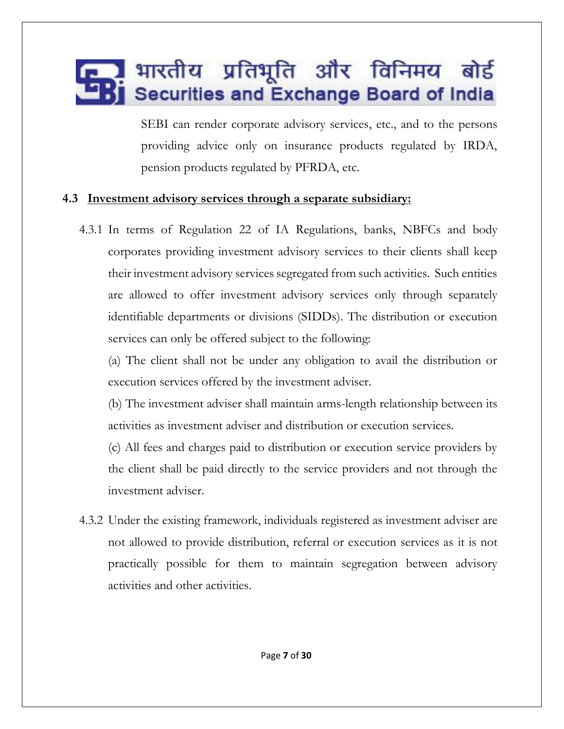SEBI can render corporate advisory services, etc., and to the persons providing advice only on insurance products regulated by IRDA, pension products regulated by PFRDA, etc.

#### **4.3 Investment advisory services through a separate subsidiary:**

4.3.1 In terms of Regulation 22 of IA Regulations, banks, NBFCs and body corporates providing investment advisory services to their clients shall keep their investment advisory services segregated from such activities. Such entities are allowed to offer investment advisory services only through separately identifiable departments or divisions (SIDDs). The distribution or execution services can only be offered subject to the following:

(a) The client shall not be under any obligation to avail the distribution or execution services offered by the investment adviser.

(b) The investment adviser shall maintain arms-length relationship between its activities as investment adviser and distribution or execution services.

(c) All fees and charges paid to distribution or execution service providers by the client shall be paid directly to the service providers and not through the investment adviser.

4.3.2 Under the existing framework, individuals registered as investment adviser are not allowed to provide distribution, referral or execution services as it is not practically possible for them to maintain segregation between advisory activities and other activities.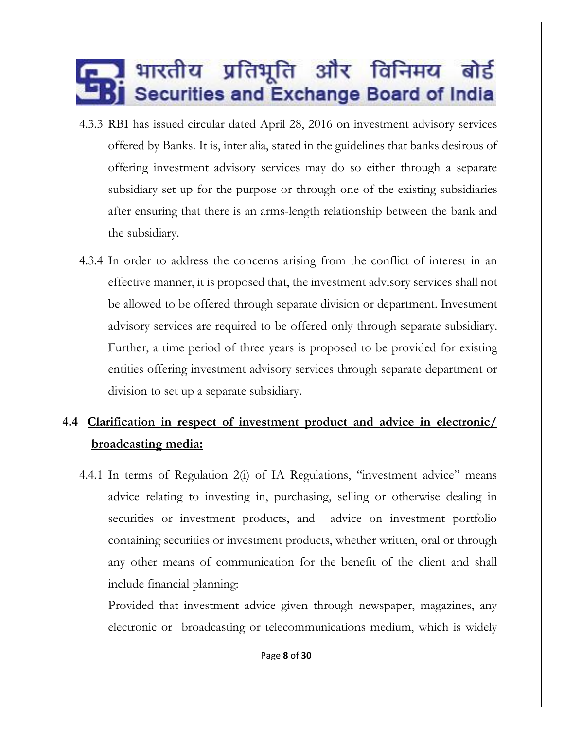- 4.3.3 RBI has issued circular dated April 28, 2016 on investment advisory services offered by Banks. It is, inter alia, stated in the guidelines that banks desirous of offering investment advisory services may do so either through a separate subsidiary set up for the purpose or through one of the existing subsidiaries after ensuring that there is an arms-length relationship between the bank and the subsidiary.
- 4.3.4 In order to address the concerns arising from the conflict of interest in an effective manner, it is proposed that, the investment advisory services shall not be allowed to be offered through separate division or department. Investment advisory services are required to be offered only through separate subsidiary. Further, a time period of three years is proposed to be provided for existing entities offering investment advisory services through separate department or division to set up a separate subsidiary.

#### **4.4 Clarification in respect of investment product and advice in electronic/ broadcasting media:**

4.4.1 In terms of Regulation 2(i) of IA Regulations, "investment advice" means advice relating to investing in, purchasing, selling or otherwise dealing in securities or investment products, and advice on investment portfolio containing securities or investment products, whether written, oral or through any other means of communication for the benefit of the client and shall include financial planning:

Provided that investment advice given through newspaper, magazines, any electronic or broadcasting or telecommunications medium, which is widely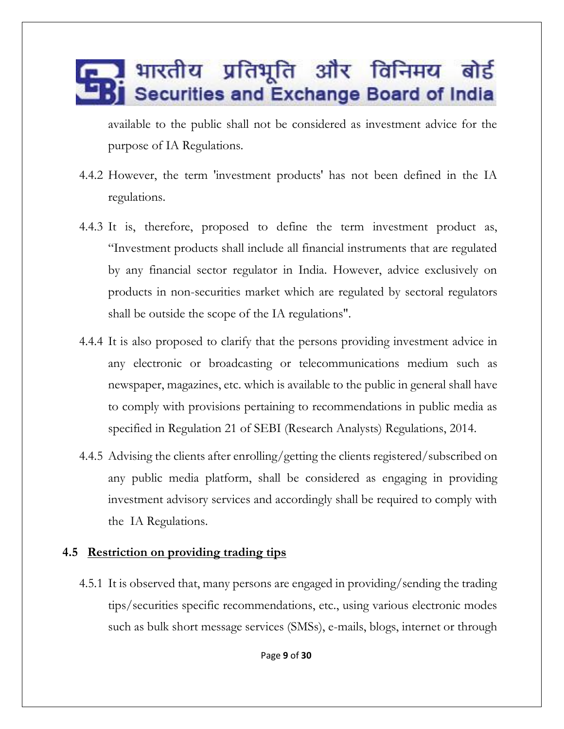available to the public shall not be considered as investment advice for the purpose of IA Regulations.

- 4.4.2 However, the term 'investment products' has not been defined in the IA regulations.
- 4.4.3 It is, therefore, proposed to define the term investment product as, "Investment products shall include all financial instruments that are regulated by any financial sector regulator in India. However, advice exclusively on products in non-securities market which are regulated by sectoral regulators shall be outside the scope of the IA regulations".
- 4.4.4 It is also proposed to clarify that the persons providing investment advice in any electronic or broadcasting or telecommunications medium such as newspaper, magazines, etc. which is available to the public in general shall have to comply with provisions pertaining to recommendations in public media as specified in Regulation 21 of SEBI (Research Analysts) Regulations, 2014.
- 4.4.5 Advising the clients after enrolling/getting the clients registered/subscribed on any public media platform, shall be considered as engaging in providing investment advisory services and accordingly shall be required to comply with the IA Regulations.

#### **4.5 Restriction on providing trading tips**

4.5.1 It is observed that, many persons are engaged in providing/sending the trading tips/securities specific recommendations, etc., using various electronic modes such as bulk short message services (SMSs), e-mails, blogs, internet or through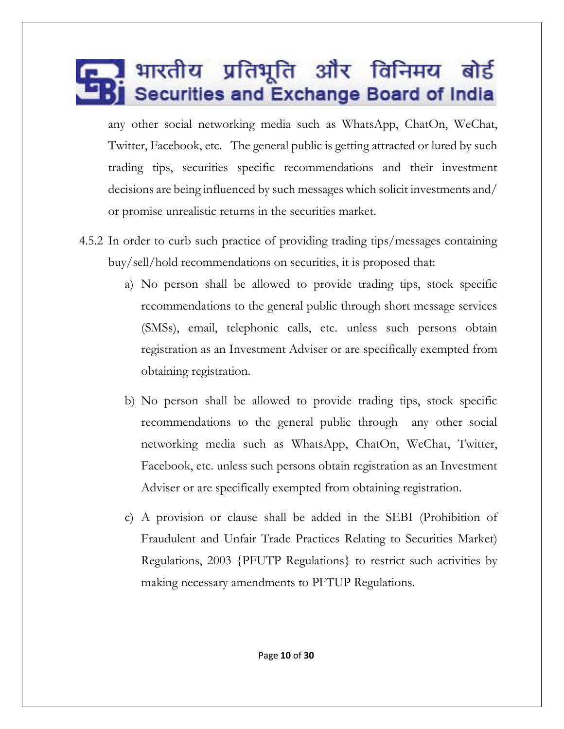any other social networking media such as WhatsApp, ChatOn, WeChat, Twitter, Facebook, etc. The general public is getting attracted or lured by such trading tips, securities specific recommendations and their investment decisions are being influenced by such messages which solicit investments and/ or promise unrealistic returns in the securities market.

- 4.5.2 In order to curb such practice of providing trading tips/messages containing buy/sell/hold recommendations on securities, it is proposed that:
	- a) No person shall be allowed to provide trading tips, stock specific recommendations to the general public through short message services (SMSs), email, telephonic calls, etc. unless such persons obtain registration as an Investment Adviser or are specifically exempted from obtaining registration.
	- b) No person shall be allowed to provide trading tips, stock specific recommendations to the general public through any other social networking media such as WhatsApp, ChatOn, WeChat, Twitter, Facebook, etc. unless such persons obtain registration as an Investment Adviser or are specifically exempted from obtaining registration.
	- c) A provision or clause shall be added in the SEBI (Prohibition of Fraudulent and Unfair Trade Practices Relating to Securities Market) Regulations, 2003 {PFUTP Regulations} to restrict such activities by making necessary amendments to PFTUP Regulations.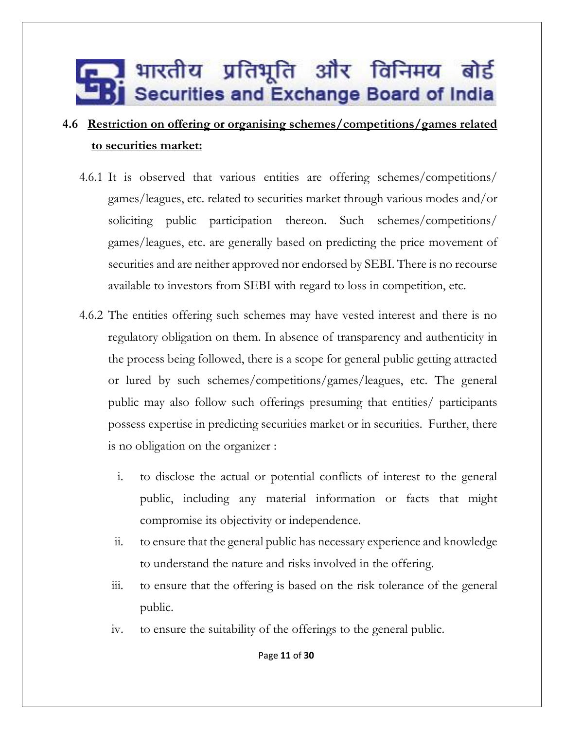#### **4.6 Restriction on offering or organising schemes/competitions/games related to securities market:**

- 4.6.1 It is observed that various entities are offering schemes/competitions/ games/leagues, etc. related to securities market through various modes and/or soliciting public participation thereon. Such schemes/competitions/ games/leagues, etc. are generally based on predicting the price movement of securities and are neither approved nor endorsed by SEBI. There is no recourse available to investors from SEBI with regard to loss in competition, etc.
- 4.6.2 The entities offering such schemes may have vested interest and there is no regulatory obligation on them. In absence of transparency and authenticity in the process being followed, there is a scope for general public getting attracted or lured by such schemes/competitions/games/leagues, etc. The general public may also follow such offerings presuming that entities/ participants possess expertise in predicting securities market or in securities. Further, there is no obligation on the organizer :
	- i. to disclose the actual or potential conflicts of interest to the general public, including any material information or facts that might compromise its objectivity or independence.
	- ii. to ensure that the general public has necessary experience and knowledge to understand the nature and risks involved in the offering.
	- iii. to ensure that the offering is based on the risk tolerance of the general public.
	- iv. to ensure the suitability of the offerings to the general public.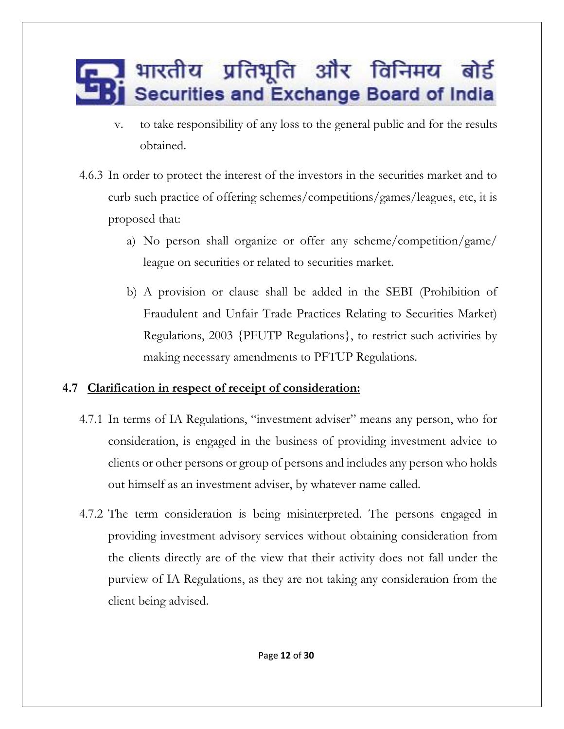- v. to take responsibility of any loss to the general public and for the results obtained.
- 4.6.3 In order to protect the interest of the investors in the securities market and to curb such practice of offering schemes/competitions/games/leagues, etc, it is proposed that:
	- a) No person shall organize or offer any scheme/competition/game/ league on securities or related to securities market.
	- b) A provision or clause shall be added in the SEBI (Prohibition of Fraudulent and Unfair Trade Practices Relating to Securities Market) Regulations, 2003 {PFUTP Regulations}, to restrict such activities by making necessary amendments to PFTUP Regulations.

#### **4.7 Clarification in respect of receipt of consideration:**

- 4.7.1 In terms of IA Regulations, "investment adviser" means any person, who for consideration, is engaged in the business of providing investment advice to clients or other persons or group of persons and includes any person who holds out himself as an investment adviser, by whatever name called.
- 4.7.2 The term consideration is being misinterpreted. The persons engaged in providing investment advisory services without obtaining consideration from the clients directly are of the view that their activity does not fall under the purview of IA Regulations, as they are not taking any consideration from the client being advised.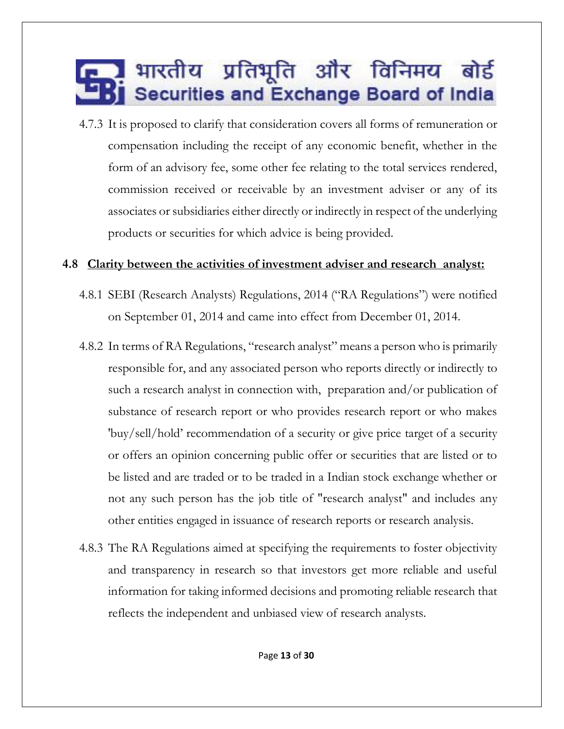4.7.3 It is proposed to clarify that consideration covers all forms of remuneration or compensation including the receipt of any economic benefit, whether in the form of an advisory fee, some other fee relating to the total services rendered, commission received or receivable by an investment adviser or any of its associates or subsidiaries either directly or indirectly in respect of the underlying products or securities for which advice is being provided.

#### **4.8 Clarity between the activities of investment adviser and research analyst:**

- 4.8.1 SEBI (Research Analysts) Regulations, 2014 ("RA Regulations") were notified on September 01, 2014 and came into effect from December 01, 2014.
- 4.8.2 In terms of RA Regulations, "research analyst" means a person who is primarily responsible for, and any associated person who reports directly or indirectly to such a research analyst in connection with, preparation and/or publication of substance of research report or who provides research report or who makes 'buy/sell/hold' recommendation of a security or give price target of a security or offers an opinion concerning public offer or securities that are listed or to be listed and are traded or to be traded in a Indian stock exchange whether or not any such person has the job title of "research analyst" and includes any other entities engaged in issuance of research reports or research analysis.
- 4.8.3 The RA Regulations aimed at specifying the requirements to foster objectivity and transparency in research so that investors get more reliable and useful information for taking informed decisions and promoting reliable research that reflects the independent and unbiased view of research analysts.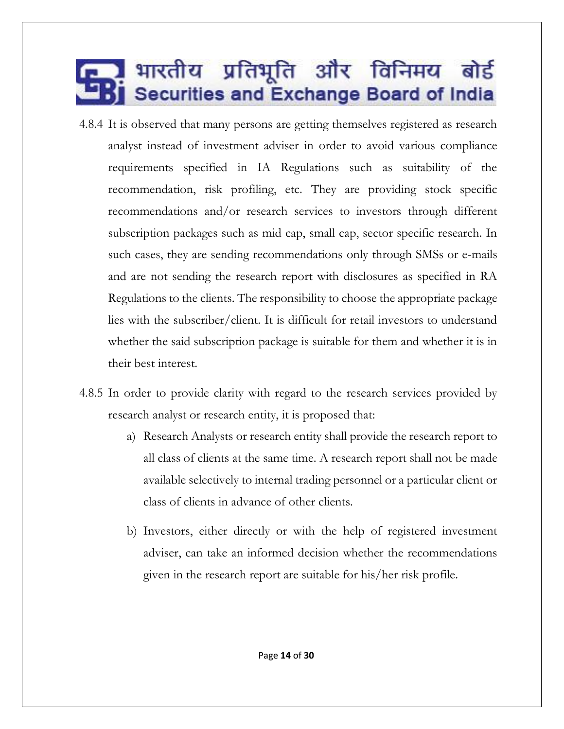- 4.8.4 It is observed that many persons are getting themselves registered as research analyst instead of investment adviser in order to avoid various compliance requirements specified in IA Regulations such as suitability of the recommendation, risk profiling, etc. They are providing stock specific recommendations and/or research services to investors through different subscription packages such as mid cap, small cap, sector specific research. In such cases, they are sending recommendations only through SMSs or e-mails and are not sending the research report with disclosures as specified in RA Regulations to the clients. The responsibility to choose the appropriate package lies with the subscriber/client. It is difficult for retail investors to understand whether the said subscription package is suitable for them and whether it is in their best interest.
- 4.8.5 In order to provide clarity with regard to the research services provided by research analyst or research entity, it is proposed that:
	- a) Research Analysts or research entity shall provide the research report to all class of clients at the same time. A research report shall not be made available selectively to internal trading personnel or a particular client or class of clients in advance of other clients.
	- b) Investors, either directly or with the help of registered investment adviser, can take an informed decision whether the recommendations given in the research report are suitable for his/her risk profile.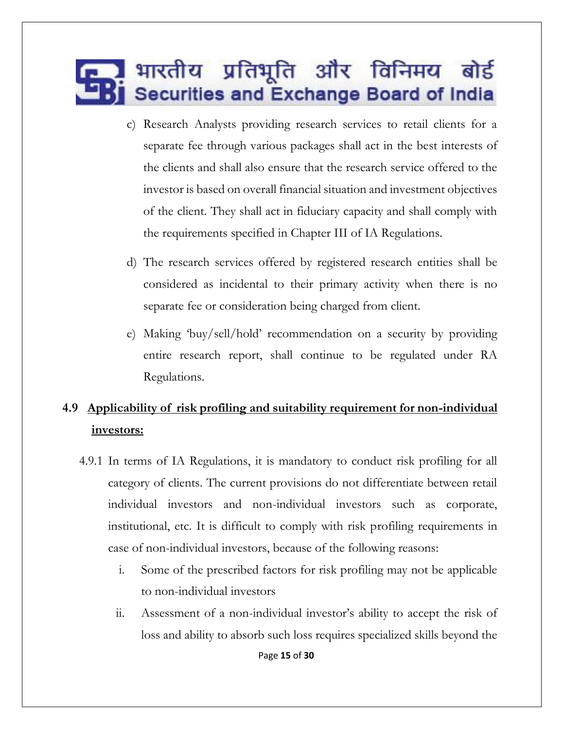- c) Research Analysts providing research services to retail clients for a separate fee through various packages shall act in the best interests of the clients and shall also ensure that the research service offered to the investor is based on overall financial situation and investment objectives of the client. They shall act in fiduciary capacity and shall comply with the requirements specified in Chapter III of IA Regulations.
- d) The research services offered by registered research entities shall be considered as incidental to their primary activity when there is no separate fee or consideration being charged from client.
- e) Making 'buy/sell/hold' recommendation on a security by providing entire research report, shall continue to be regulated under RA Regulations.

#### **4.9 Applicability of risk profiling and suitability requirement for non-individual investors:**

- 4.9.1 In terms of IA Regulations, it is mandatory to conduct risk profiling for all category of clients. The current provisions do not differentiate between retail individual investors and non-individual investors such as corporate, institutional, etc. It is difficult to comply with risk profiling requirements in case of non-individual investors, because of the following reasons:
	- i. Some of the prescribed factors for risk profiling may not be applicable to non-individual investors
	- ii. Assessment of a non-individual investor's ability to accept the risk of loss and ability to absorb such loss requires specialized skills beyond the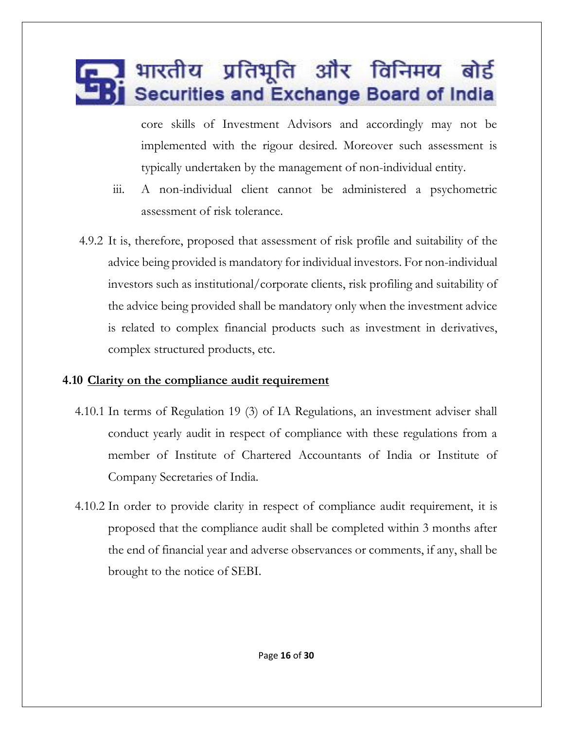core skills of Investment Advisors and accordingly may not be implemented with the rigour desired. Moreover such assessment is typically undertaken by the management of non-individual entity.

- iii. A non-individual client cannot be administered a psychometric assessment of risk tolerance.
- 4.9.2 It is, therefore, proposed that assessment of risk profile and suitability of the advice being provided is mandatory for individual investors. For non-individual investors such as institutional/corporate clients, risk profiling and suitability of the advice being provided shall be mandatory only when the investment advice is related to complex financial products such as investment in derivatives, complex structured products, etc.

#### **4.10 Clarity on the compliance audit requirement**

- 4.10.1 In terms of Regulation 19 (3) of IA Regulations, an investment adviser shall conduct yearly audit in respect of compliance with these regulations from a member of Institute of Chartered Accountants of India or Institute of Company Secretaries of India.
- 4.10.2 In order to provide clarity in respect of compliance audit requirement, it is proposed that the compliance audit shall be completed within 3 months after the end of financial year and adverse observances or comments, if any, shall be brought to the notice of SEBI.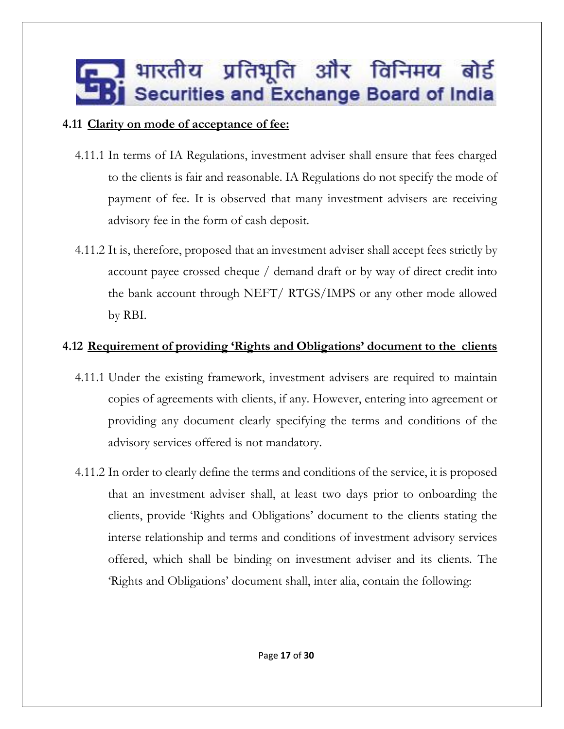#### **4.11 Clarity on mode of acceptance of fee:**

- 4.11.1 In terms of IA Regulations, investment adviser shall ensure that fees charged to the clients is fair and reasonable. IA Regulations do not specify the mode of payment of fee. It is observed that many investment advisers are receiving advisory fee in the form of cash deposit.
- 4.11.2 It is, therefore, proposed that an investment adviser shall accept fees strictly by account payee crossed cheque / demand draft or by way of direct credit into the bank account through NEFT/ RTGS/IMPS or any other mode allowed by RBI.

#### **4.12 Requirement of providing 'Rights and Obligations' document to the clients**

- 4.11.1 Under the existing framework, investment advisers are required to maintain copies of agreements with clients, if any. However, entering into agreement or providing any document clearly specifying the terms and conditions of the advisory services offered is not mandatory.
- 4.11.2 In order to clearly define the terms and conditions of the service, it is proposed that an investment adviser shall, at least two days prior to onboarding the clients, provide 'Rights and Obligations' document to the clients stating the interse relationship and terms and conditions of investment advisory services offered, which shall be binding on investment adviser and its clients. The 'Rights and Obligations' document shall, inter alia, contain the following: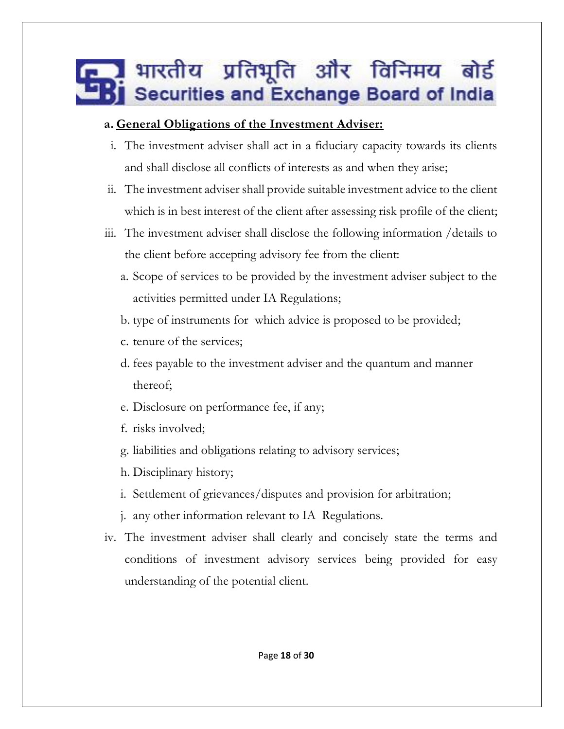#### **a. General Obligations of the Investment Adviser:**

- i. The investment adviser shall act in a fiduciary capacity towards its clients and shall disclose all conflicts of interests as and when they arise;
- ii. The investment adviser shall provide suitable investment advice to the client which is in best interest of the client after assessing risk profile of the client;
- iii. The investment adviser shall disclose the following information /details to the client before accepting advisory fee from the client:
	- a. Scope of services to be provided by the investment adviser subject to the activities permitted under IA Regulations;
	- b. type of instruments for which advice is proposed to be provided;
	- c. tenure of the services;
	- d. fees payable to the investment adviser and the quantum and manner thereof;
	- e. Disclosure on performance fee, if any;
	- f. risks involved;
	- g. liabilities and obligations relating to advisory services;
	- h. Disciplinary history;
	- i. Settlement of grievances/disputes and provision for arbitration;
	- j. any other information relevant to IA Regulations.
- iv. The investment adviser shall clearly and concisely state the terms and conditions of investment advisory services being provided for easy understanding of the potential client.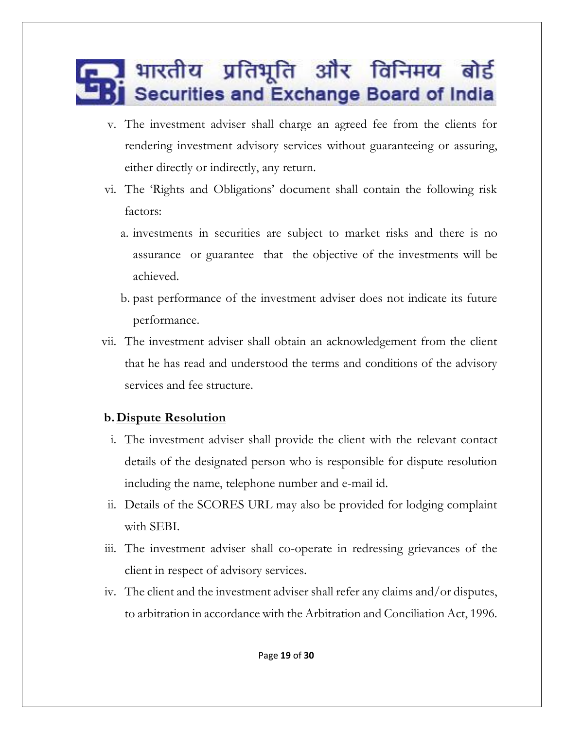- v. The investment adviser shall charge an agreed fee from the clients for rendering investment advisory services without guaranteeing or assuring, either directly or indirectly, any return.
- vi. The 'Rights and Obligations' document shall contain the following risk factors:
	- a. investments in securities are subject to market risks and there is no assurance or guarantee that the objective of the investments will be achieved.
	- b. past performance of the investment adviser does not indicate its future performance.
- vii. The investment adviser shall obtain an acknowledgement from the client that he has read and understood the terms and conditions of the advisory services and fee structure.

#### **b.Dispute Resolution**

- i. The investment adviser shall provide the client with the relevant contact details of the designated person who is responsible for dispute resolution including the name, telephone number and e-mail id.
- ii. Details of the SCORES URL may also be provided for lodging complaint with SEBI.
- iii. The investment adviser shall co-operate in redressing grievances of the client in respect of advisory services.
- iv. The client and the investment adviser shall refer any claims and/or disputes, to arbitration in accordance with the Arbitration and Conciliation Act, 1996.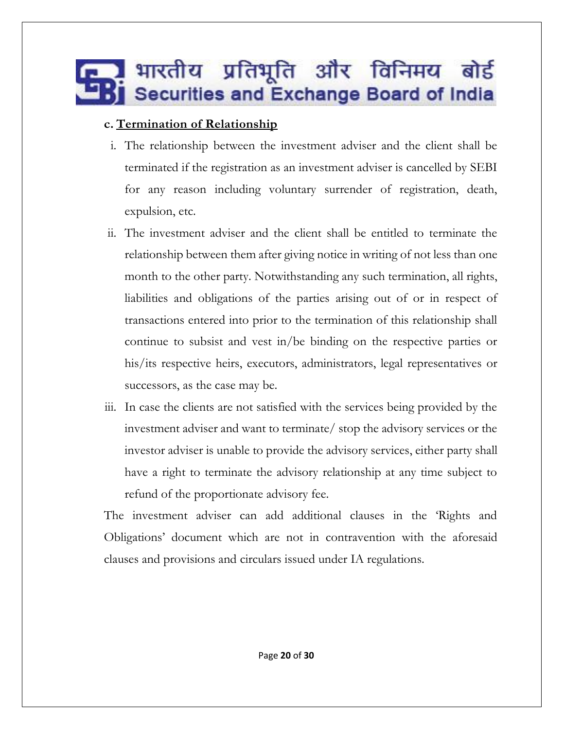#### **c. Termination of Relationship**

- i. The relationship between the investment adviser and the client shall be terminated if the registration as an investment adviser is cancelled by SEBI for any reason including voluntary surrender of registration, death, expulsion, etc.
- ii. The investment adviser and the client shall be entitled to terminate the relationship between them after giving notice in writing of not less than one month to the other party. Notwithstanding any such termination, all rights, liabilities and obligations of the parties arising out of or in respect of transactions entered into prior to the termination of this relationship shall continue to subsist and vest in/be binding on the respective parties or his/its respective heirs, executors, administrators, legal representatives or successors, as the case may be.
- iii. In case the clients are not satisfied with the services being provided by the investment adviser and want to terminate/ stop the advisory services or the investor adviser is unable to provide the advisory services, either party shall have a right to terminate the advisory relationship at any time subject to refund of the proportionate advisory fee.

The investment adviser can add additional clauses in the 'Rights and Obligations' document which are not in contravention with the aforesaid clauses and provisions and circulars issued under IA regulations.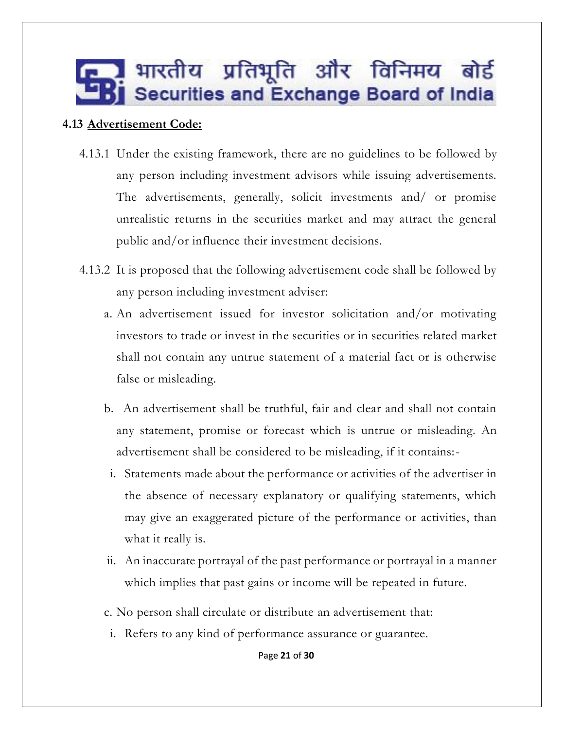#### **4.13 Advertisement Code:**

- 4.13.1 Under the existing framework, there are no guidelines to be followed by any person including investment advisors while issuing advertisements. The advertisements, generally, solicit investments and/ or promise unrealistic returns in the securities market and may attract the general public and/or influence their investment decisions.
- 4.13.2 It is proposed that the following advertisement code shall be followed by any person including investment adviser:
	- a. An advertisement issued for investor solicitation and/or motivating investors to trade or invest in the securities or in securities related market shall not contain any untrue statement of a material fact or is otherwise false or misleading.
	- b. An advertisement shall be truthful, fair and clear and shall not contain any statement, promise or forecast which is untrue or misleading. An advertisement shall be considered to be misleading, if it contains:
		- i. Statements made about the performance or activities of the advertiser in the absence of necessary explanatory or qualifying statements, which may give an exaggerated picture of the performance or activities, than what it really is.
	- ii. An inaccurate portrayal of the past performance or portrayal in a manner which implies that past gains or income will be repeated in future.
	- c. No person shall circulate or distribute an advertisement that:
	- i. Refers to any kind of performance assurance or guarantee.

Page **21** of **30**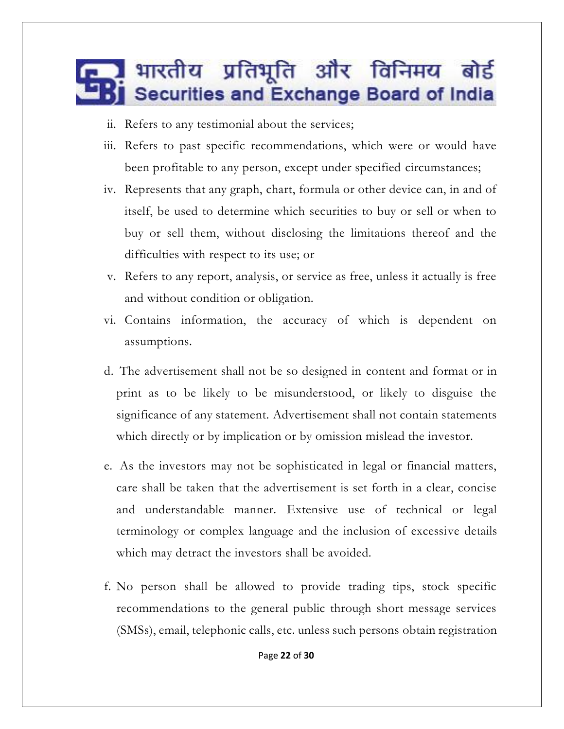- ii. Refers to any testimonial about the services;
- iii. Refers to past specific recommendations, which were or would have been profitable to any person, except under specified circumstances;
- iv. Represents that any graph, chart, formula or other device can, in and of itself, be used to determine which securities to buy or sell or when to buy or sell them, without disclosing the limitations thereof and the difficulties with respect to its use; or
- v. Refers to any report, analysis, or service as free, unless it actually is free and without condition or obligation.
- vi. Contains information, the accuracy of which is dependent on assumptions.
- d. The advertisement shall not be so designed in content and format or in print as to be likely to be misunderstood, or likely to disguise the significance of any statement. Advertisement shall not contain statements which directly or by implication or by omission mislead the investor.
- e. As the investors may not be sophisticated in legal or financial matters, care shall be taken that the advertisement is set forth in a clear, concise and understandable manner. Extensive use of technical or legal terminology or complex language and the inclusion of excessive details which may detract the investors shall be avoided.
- f. No person shall be allowed to provide trading tips, stock specific recommendations to the general public through short message services (SMSs), email, telephonic calls, etc. unless such persons obtain registration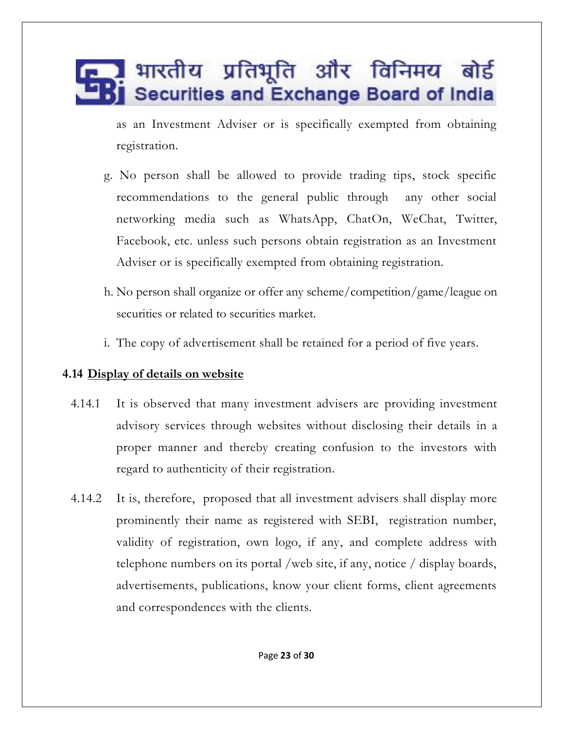as an Investment Adviser or is specifically exempted from obtaining registration.

- g. No person shall be allowed to provide trading tips, stock specific recommendations to the general public through any other social networking media such as WhatsApp, ChatOn, WeChat, Twitter, Facebook, etc. unless such persons obtain registration as an Investment Adviser or is specifically exempted from obtaining registration.
- h. No person shall organize or offer any scheme/competition/game/league on securities or related to securities market*.*
- i. The copy of advertisement shall be retained for a period of five years.

#### **4.14 Display of details on website**

- 4.14.1 It is observed that many investment advisers are providing investment advisory services through websites without disclosing their details in a proper manner and thereby creating confusion to the investors with regard to authenticity of their registration.
- 4.14.2 It is, therefore, proposed that all investment advisers shall display more prominently their name as registered with SEBI, registration number, validity of registration, own logo, if any, and complete address with telephone numbers on its portal /web site, if any, notice / display boards, advertisements, publications, know your client forms, client agreements and correspondences with the clients.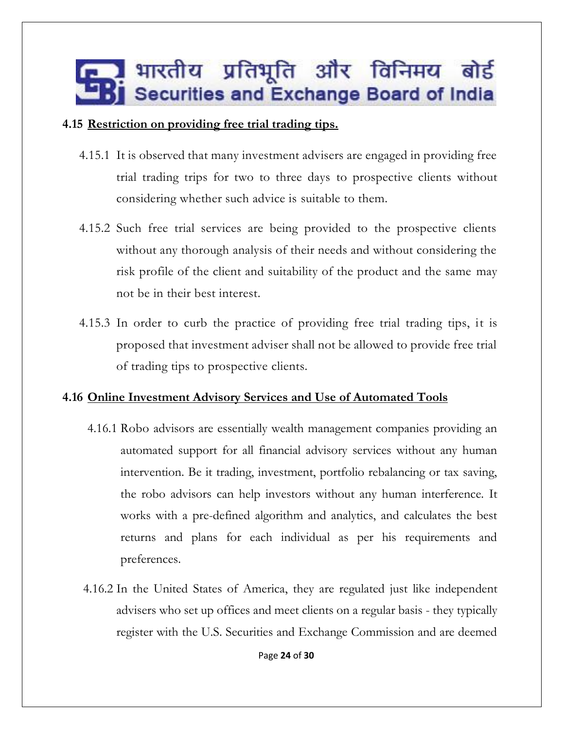#### **4.15 Restriction on providing free trial trading tips.**

- 4.15.1 It is observed that many investment advisers are engaged in providing free trial trading trips for two to three days to prospective clients without considering whether such advice is suitable to them.
- 4.15.2 Such free trial services are being provided to the prospective clients without any thorough analysis of their needs and without considering the risk profile of the client and suitability of the product and the same may not be in their best interest.
- 4.15.3 In order to curb the practice of providing free trial trading tips, it is proposed that investment adviser shall not be allowed to provide free trial of trading tips to prospective clients.

#### **4.16 Online Investment Advisory Services and Use of Automated Tools**

- 4.16.1 Robo advisors are essentially wealth management companies providing an automated support for all financial advisory services without any human intervention. Be it trading, investment, portfolio rebalancing or tax saving, the robo advisors can help investors without any human interference. It works with a pre-defined algorithm and analytics, and calculates the best returns and plans for each individual as per his requirements and preferences.
- 4.16.2 In the United States of America, they are regulated just like independent advisers who set up offices and meet clients on a regular basis - they typically register with the U.S. Securities and Exchange Commission and are deemed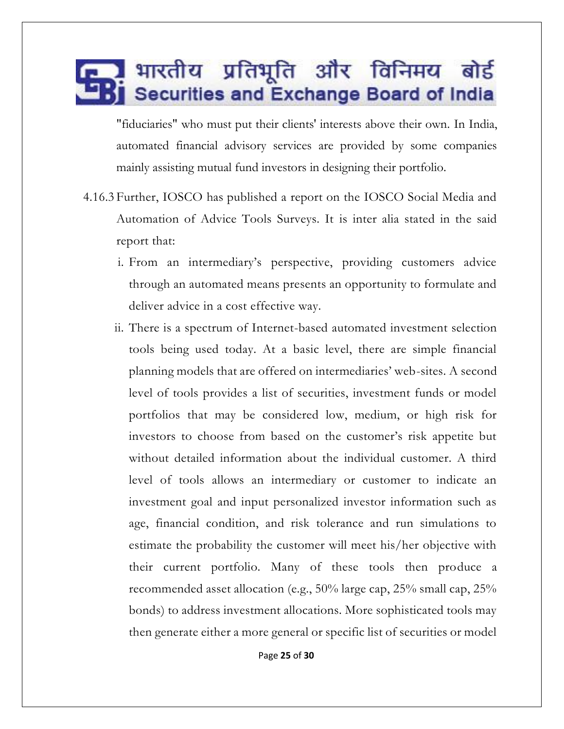"fiduciaries" who must put their clients' interests above their own. In India, automated financial advisory services are provided by some companies mainly assisting mutual fund investors in designing their portfolio.

- 4.16.3 Further, IOSCO has published a report on the IOSCO Social Media and Automation of Advice Tools Surveys. It is inter alia stated in the said report that:
	- i. From an intermediary's perspective, providing customers advice through an automated means presents an opportunity to formulate and deliver advice in a cost effective way.
	- ii. There is a spectrum of Internet-based automated investment selection tools being used today. At a basic level, there are simple financial planning models that are offered on intermediaries' web-sites. A second level of tools provides a list of securities, investment funds or model portfolios that may be considered low, medium, or high risk for investors to choose from based on the customer's risk appetite but without detailed information about the individual customer. A third level of tools allows an intermediary or customer to indicate an investment goal and input personalized investor information such as age, financial condition, and risk tolerance and run simulations to estimate the probability the customer will meet his/her objective with their current portfolio. Many of these tools then produce a recommended asset allocation (e.g., 50% large cap, 25% small cap, 25% bonds) to address investment allocations. More sophisticated tools may then generate either a more general or specific list of securities or model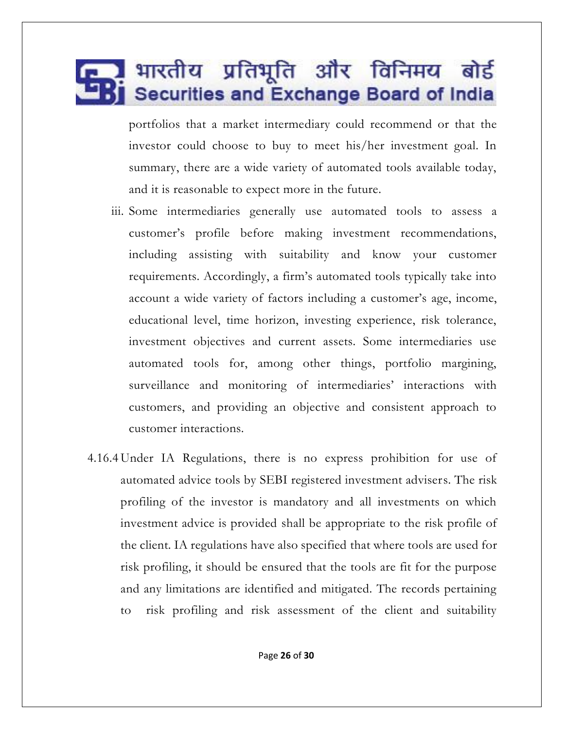portfolios that a market intermediary could recommend or that the investor could choose to buy to meet his/her investment goal. In summary, there are a wide variety of automated tools available today, and it is reasonable to expect more in the future.

- iii. Some intermediaries generally use automated tools to assess a customer's profile before making investment recommendations, including assisting with suitability and know your customer requirements. Accordingly, a firm's automated tools typically take into account a wide variety of factors including a customer's age, income, educational level, time horizon, investing experience, risk tolerance, investment objectives and current assets. Some intermediaries use automated tools for, among other things, portfolio margining, surveillance and monitoring of intermediaries' interactions with customers, and providing an objective and consistent approach to customer interactions.
- 4.16.4 Under IA Regulations, there is no express prohibition for use of automated advice tools by SEBI registered investment advisers. The risk profiling of the investor is mandatory and all investments on which investment advice is provided shall be appropriate to the risk profile of the client. IA regulations have also specified that where tools are used for risk profiling, it should be ensured that the tools are fit for the purpose and any limitations are identified and mitigated. The records pertaining to risk profiling and risk assessment of the client and suitability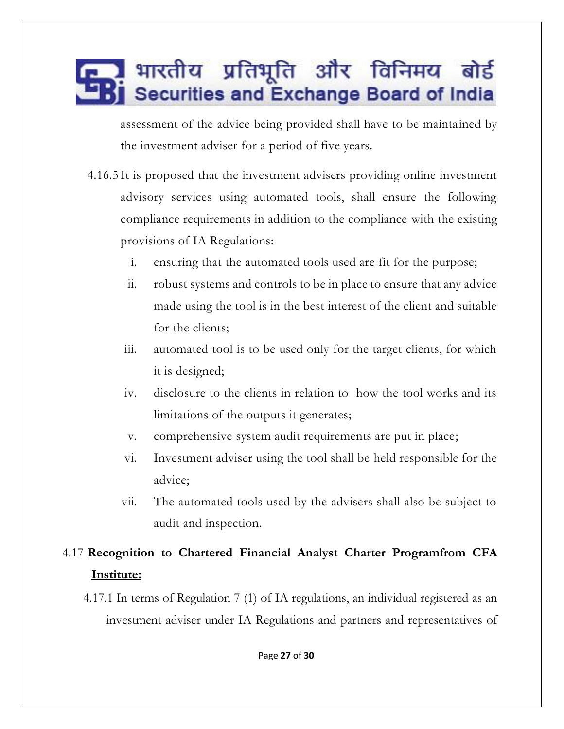assessment of the advice being provided shall have to be maintained by the investment adviser for a period of five years.

- 4.16.5 It is proposed that the investment advisers providing online investment advisory services using automated tools, shall ensure the following compliance requirements in addition to the compliance with the existing provisions of IA Regulations:
	- i. ensuring that the automated tools used are fit for the purpose;
	- ii. robust systems and controls to be in place to ensure that any advice made using the tool is in the best interest of the client and suitable for the clients;
	- iii. automated tool is to be used only for the target clients, for which it is designed;
	- iv. disclosure to the clients in relation to how the tool works and its limitations of the outputs it generates;
	- v. comprehensive system audit requirements are put in place;
	- vi. Investment adviser using the tool shall be held responsible for the advice;
	- vii. The automated tools used by the advisers shall also be subject to audit and inspection.

#### 4.17 **Recognition to Chartered Financial Analyst Charter Programfrom CFA Institute:**

4.17.1 In terms of Regulation 7 (1) of IA regulations, an individual registered as an investment adviser under IA Regulations and partners and representatives of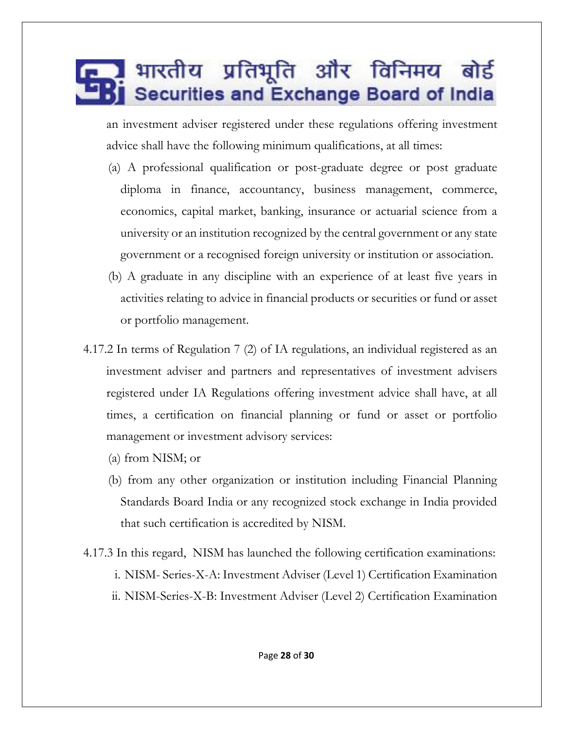an investment adviser registered under these regulations offering investment advice shall have the following minimum qualifications, at all times:

- (a) A professional qualification or post-graduate degree or post graduate diploma in finance, accountancy, business management, commerce, economics, capital market, banking, insurance or actuarial science from a university or an institution recognized by the central government or any state government or a recognised foreign university or institution or association.
- (b) A graduate in any discipline with an experience of at least five years in activities relating to advice in financial products or securities or fund or asset or portfolio management.
- 4.17.2 In terms of Regulation 7 (2) of IA regulations, an individual registered as an investment adviser and partners and representatives of investment advisers registered under IA Regulations offering investment advice shall have, at all times, a certification on financial planning or fund or asset or portfolio management or investment advisory services:
	- (a) from NISM; or
	- (b) from any other organization or institution including Financial Planning Standards Board India or any recognized stock exchange in India provided that such certification is accredited by NISM.
- 4.17.3 In this regard, NISM has launched the following certification examinations: i. NISM- Series-X-A: Investment Adviser (Level 1) Certification Examination ii. NISM-Series-X-B: Investment Adviser (Level 2) Certification Examination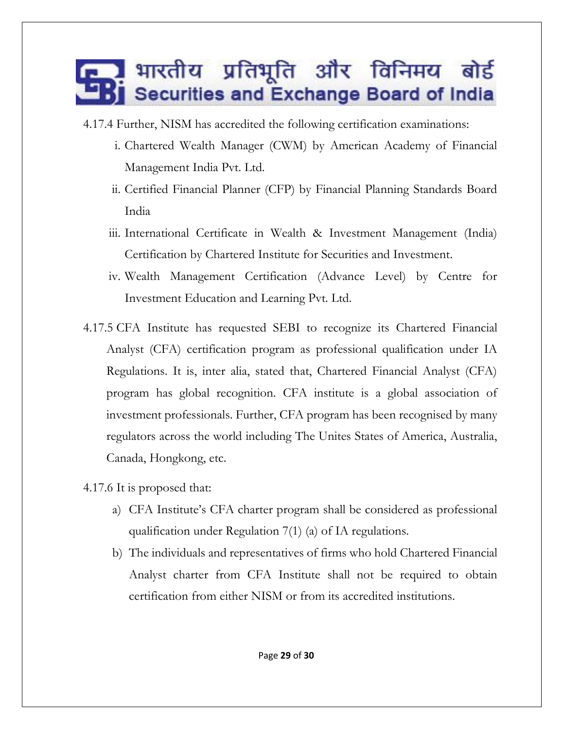- 4.17.4 Further, NISM has accredited the following certification examinations:
	- i. Chartered Wealth Manager (CWM) by American Academy of Financial Management India Pvt. Ltd.
	- ii. Certified Financial Planner (CFP) by Financial Planning Standards Board India
	- iii. International Certificate in Wealth & Investment Management (India) Certification by Chartered Institute for Securities and Investment.
	- iv. Wealth Management Certification (Advance Level) by Centre for Investment Education and Learning Pvt. Ltd.
- 4.17.5 CFA Institute has requested SEBI to recognize its Chartered Financial Analyst (CFA) certification program as professional qualification under IA Regulations. It is, inter alia, stated that, Chartered Financial Analyst (CFA) program has global recognition. CFA institute is a global association of investment professionals. Further, CFA program has been recognised by many regulators across the world including The Unites States of America, Australia, Canada, Hongkong, etc.
- 4.17.6 It is proposed that:
	- a) CFA Institute's CFA charter program shall be considered as professional qualification under Regulation 7(1) (a) of IA regulations.
	- b) The individuals and representatives of firms who hold Chartered Financial Analyst charter from CFA Institute shall not be required to obtain certification from either NISM or from its accredited institutions.